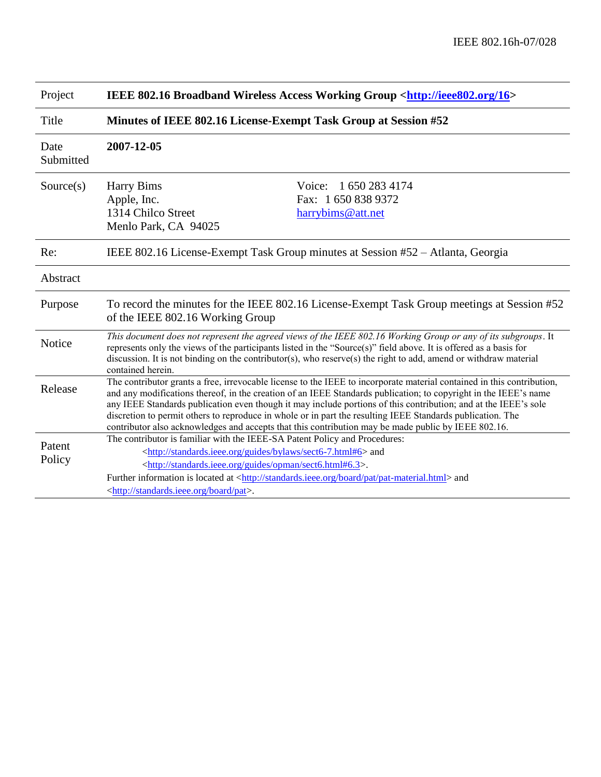| Project           | IEEE 802.16 Broadband Wireless Access Working Group <http: 16="" ieee802.org=""></http:>                                                                                                                                                                                                                                                                                                                                                                                                                                                                                           |
|-------------------|------------------------------------------------------------------------------------------------------------------------------------------------------------------------------------------------------------------------------------------------------------------------------------------------------------------------------------------------------------------------------------------------------------------------------------------------------------------------------------------------------------------------------------------------------------------------------------|
| Title             | Minutes of IEEE 802.16 License-Exempt Task Group at Session #52                                                                                                                                                                                                                                                                                                                                                                                                                                                                                                                    |
| Date<br>Submitted | 2007-12-05                                                                                                                                                                                                                                                                                                                                                                                                                                                                                                                                                                         |
| Source(s)         | 1 650 283 4174<br><b>Harry Bims</b><br>Voice:<br>Fax: 1 650 838 9372<br>Apple, Inc.<br>1314 Chilco Street<br>harrybims@att.net<br>Menlo Park, CA 94025                                                                                                                                                                                                                                                                                                                                                                                                                             |
| Re:               | IEEE 802.16 License-Exempt Task Group minutes at Session #52 – Atlanta, Georgia                                                                                                                                                                                                                                                                                                                                                                                                                                                                                                    |
| Abstract          |                                                                                                                                                                                                                                                                                                                                                                                                                                                                                                                                                                                    |
| Purpose           | To record the minutes for the IEEE 802.16 License-Exempt Task Group meetings at Session #52<br>of the IEEE 802.16 Working Group                                                                                                                                                                                                                                                                                                                                                                                                                                                    |
| Notice            | This document does not represent the agreed views of the IEEE 802.16 Working Group or any of its subgroups. It<br>represents only the views of the participants listed in the "Source(s)" field above. It is offered as a basis for<br>discussion. It is not binding on the contributor(s), who reserve(s) the right to add, amend or withdraw material<br>contained herein.                                                                                                                                                                                                       |
| Release           | The contributor grants a free, irrevocable license to the IEEE to incorporate material contained in this contribution,<br>and any modifications thereof, in the creation of an IEEE Standards publication; to copyright in the IEEE's name<br>any IEEE Standards publication even though it may include portions of this contribution; and at the IEEE's sole<br>discretion to permit others to reproduce in whole or in part the resulting IEEE Standards publication. The<br>contributor also acknowledges and accepts that this contribution may be made public by IEEE 802.16. |
| Patent<br>Policy  | The contributor is familiar with the IEEE-SA Patent Policy and Procedures:<br><http: bylaws="" guides="" sect6-7.html#6="" standards.ieee.org=""> and<br/><http: guides="" opman="" sect6.html#6.3="" standards.ieee.org="">.<br/>Further information is located at <http: board="" pat="" pat-material.html="" standards.ieee.org=""> and<br/><http: board="" pat="" standards.ieee.org="">.</http:></http:></http:></http:>                                                                                                                                                      |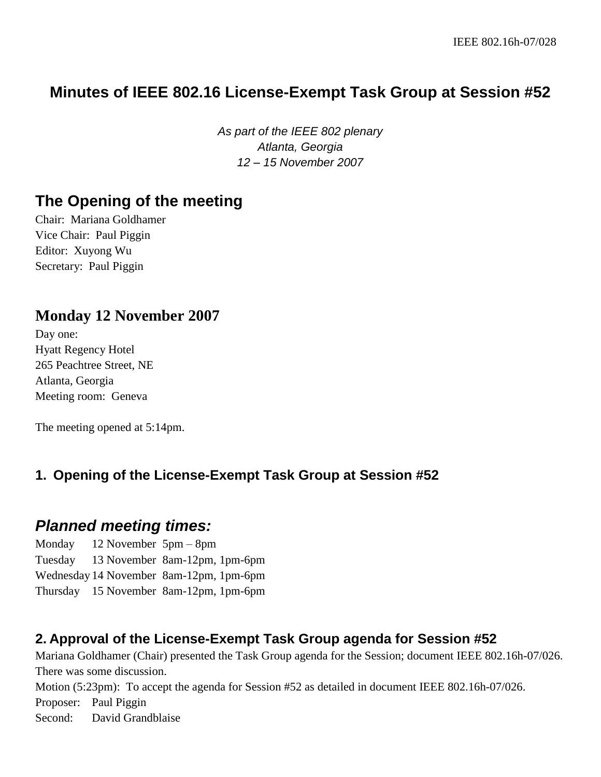# **Minutes of IEEE 802.16 License-Exempt Task Group at Session #52**

*As part of the IEEE 802 plenary Atlanta, Georgia 12 – 15 November 2007*

## **The Opening of the meeting**

Chair: Mariana Goldhamer Vice Chair: Paul Piggin Editor: Xuyong Wu Secretary: Paul Piggin

## **Monday 12 November 2007**

Day one: Hyatt Regency Hotel 265 Peachtree Street, NE Atlanta, Georgia Meeting room: Geneva

The meeting opened at 5:14pm.

### **1. Opening of the License-Exempt Task Group at Session #52**

## *Planned meeting times:*

Monday 12 November 5pm – 8pm Tuesday 13 November 8am-12pm, 1pm-6pm Wednesday 14 November 8am-12pm, 1pm-6pm Thursday 15 November 8am-12pm, 1pm-6pm

### **2. Approval of the License-Exempt Task Group agenda for Session #52**

Mariana Goldhamer (Chair) presented the Task Group agenda for the Session; document IEEE 802.16h-07/026. There was some discussion.

Motion (5:23pm): To accept the agenda for Session #52 as detailed in document IEEE 802.16h-07/026.

Proposer: Paul Piggin

Second: David Grandblaise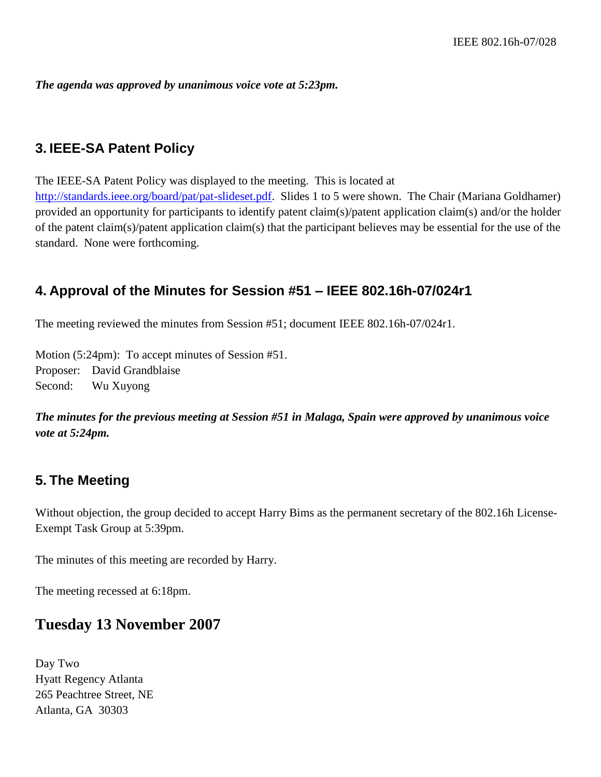*The agenda was approved by unanimous voice vote at 5:23pm.*

#### **3. IEEE-SA Patent Policy**

The IEEE-SA Patent Policy was displayed to the meeting. This is located at [http://standards.ieee.org/board/pat/pat-slideset.pdf.](http://standards.ieee.org/board/pat/pat-slideset.pdf) Slides 1 to 5 were shown. The Chair (Mariana Goldhamer) provided an opportunity for participants to identify patent claim(s)/patent application claim(s) and/or the holder of the patent claim(s)/patent application claim(s) that the participant believes may be essential for the use of the standard. None were forthcoming.

#### **4. Approval of the Minutes for Session #51 – IEEE 802.16h-07/024r1**

The meeting reviewed the minutes from Session #51; document IEEE 802.16h-07/024r1.

Motion (5:24pm): To accept minutes of Session #51. Proposer: David Grandblaise Second: Wu Xuyong

#### *The minutes for the previous meeting at Session #51 in Malaga, Spain were approved by unanimous voice vote at 5:24pm.*

#### **5. The Meeting**

Without objection, the group decided to accept Harry Bims as the permanent secretary of the 802.16h License-Exempt Task Group at 5:39pm.

The minutes of this meeting are recorded by Harry.

The meeting recessed at 6:18pm.

### **Tuesday 13 November 2007**

Day Two Hyatt Regency Atlanta 265 Peachtree Street, NE Atlanta, GA 30303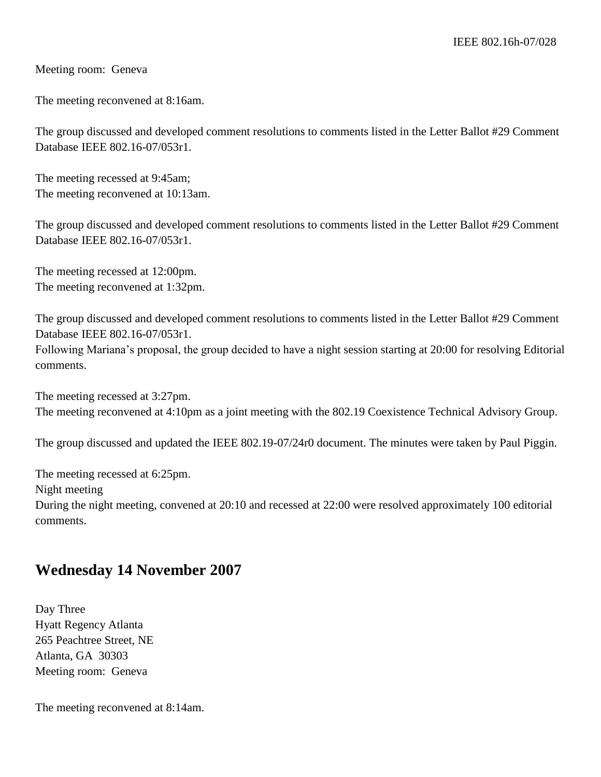Meeting room: Geneva

The meeting reconvened at 8:16am.

The group discussed and developed comment resolutions to comments listed in the Letter Ballot #29 Comment Database IEEE 802.16-07/053r1.

The meeting recessed at 9:45am; The meeting reconvened at 10:13am.

The group discussed and developed comment resolutions to comments listed in the Letter Ballot #29 Comment Database IEEE 802.16-07/053r1.

The meeting recessed at 12:00pm. The meeting reconvened at 1:32pm.

The group discussed and developed comment resolutions to comments listed in the Letter Ballot #29 Comment Database IEEE 802.16-07/053r1.

Following Mariana's proposal, the group decided to have a night session starting at 20:00 for resolving Editorial comments.

The meeting recessed at 3:27pm. The meeting reconvened at 4:10pm as a joint meeting with the 802.19 Coexistence Technical Advisory Group.

The group discussed and updated the IEEE 802.19-07/24r0 document. The minutes were taken by Paul Piggin.

The meeting recessed at 6:25pm. Night meeting During the night meeting, convened at 20:10 and recessed at 22:00 were resolved approximately 100 editorial comments.

## **Wednesday 14 November 2007**

Day Three Hyatt Regency Atlanta 265 Peachtree Street, NE Atlanta, GA 30303 Meeting room: Geneva

The meeting reconvened at 8:14am.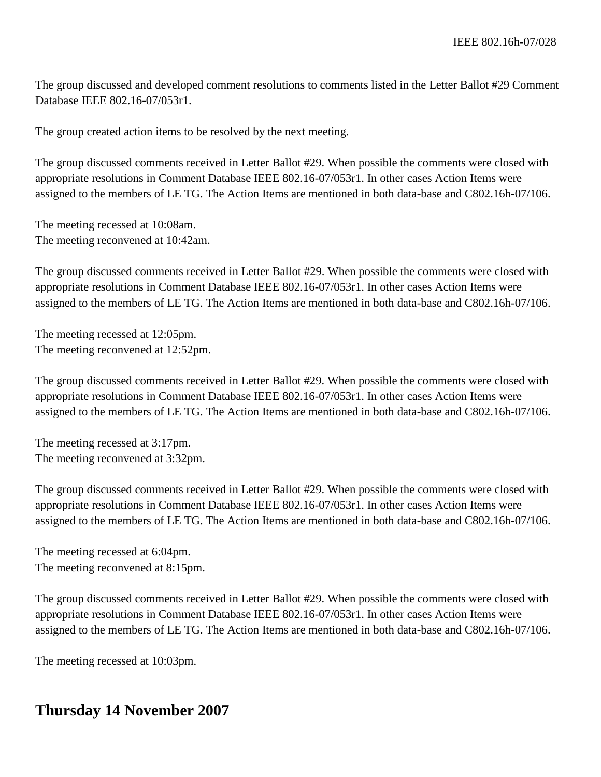The group discussed and developed comment resolutions to comments listed in the Letter Ballot #29 Comment Database IEEE 802.16-07/053r1.

The group created action items to be resolved by the next meeting.

The group discussed comments received in Letter Ballot #29. When possible the comments were closed with appropriate resolutions in Comment Database IEEE 802.16-07/053r1. In other cases Action Items were assigned to the members of LE TG. The Action Items are mentioned in both data-base and C802.16h-07/106.

The meeting recessed at 10:08am. The meeting reconvened at 10:42am.

The group discussed comments received in Letter Ballot #29. When possible the comments were closed with appropriate resolutions in Comment Database IEEE 802.16-07/053r1. In other cases Action Items were assigned to the members of LE TG. The Action Items are mentioned in both data-base and C802.16h-07/106.

The meeting recessed at 12:05pm. The meeting reconvened at 12:52pm.

The group discussed comments received in Letter Ballot #29. When possible the comments were closed with appropriate resolutions in Comment Database IEEE 802.16-07/053r1. In other cases Action Items were assigned to the members of LE TG. The Action Items are mentioned in both data-base and C802.16h-07/106.

The meeting recessed at 3:17pm. The meeting reconvened at 3:32pm.

The group discussed comments received in Letter Ballot #29. When possible the comments were closed with appropriate resolutions in Comment Database IEEE 802.16-07/053r1. In other cases Action Items were assigned to the members of LE TG. The Action Items are mentioned in both data-base and C802.16h-07/106.

The meeting recessed at 6:04pm. The meeting reconvened at 8:15pm.

The group discussed comments received in Letter Ballot #29. When possible the comments were closed with appropriate resolutions in Comment Database IEEE 802.16-07/053r1. In other cases Action Items were assigned to the members of LE TG. The Action Items are mentioned in both data-base and C802.16h-07/106.

The meeting recessed at 10:03pm.

## **Thursday 14 November 2007**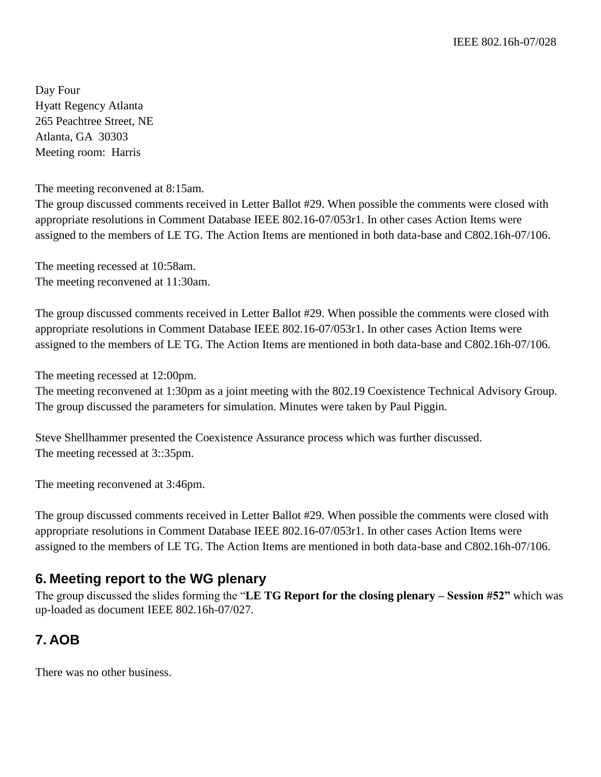Day Four Hyatt Regency Atlanta 265 Peachtree Street, NE Atlanta, GA 30303 Meeting room: Harris

The meeting reconvened at 8:15am.

The group discussed comments received in Letter Ballot #29. When possible the comments were closed with appropriate resolutions in Comment Database IEEE 802.16-07/053r1. In other cases Action Items were assigned to the members of LE TG. The Action Items are mentioned in both data-base and C802.16h-07/106.

The meeting recessed at 10:58am. The meeting reconvened at 11:30am.

The group discussed comments received in Letter Ballot #29. When possible the comments were closed with appropriate resolutions in Comment Database IEEE 802.16-07/053r1. In other cases Action Items were assigned to the members of LE TG. The Action Items are mentioned in both data-base and C802.16h-07/106.

The meeting recessed at 12:00pm.

The meeting reconvened at 1:30pm as a joint meeting with the 802.19 Coexistence Technical Advisory Group. The group discussed the parameters for simulation. Minutes were taken by Paul Piggin.

Steve Shellhammer presented the Coexistence Assurance process which was further discussed. The meeting recessed at 3::35pm.

The meeting reconvened at 3:46pm.

The group discussed comments received in Letter Ballot #29. When possible the comments were closed with appropriate resolutions in Comment Database IEEE 802.16-07/053r1. In other cases Action Items were assigned to the members of LE TG. The Action Items are mentioned in both data-base and C802.16h-07/106.

#### **6. Meeting report to the WG plenary**

The group discussed the slides forming the "**LE TG Report for the closing plenary – Session #52"** which was up-loaded as document IEEE 802.16h-07/027.

### **7. AOB**

There was no other business.